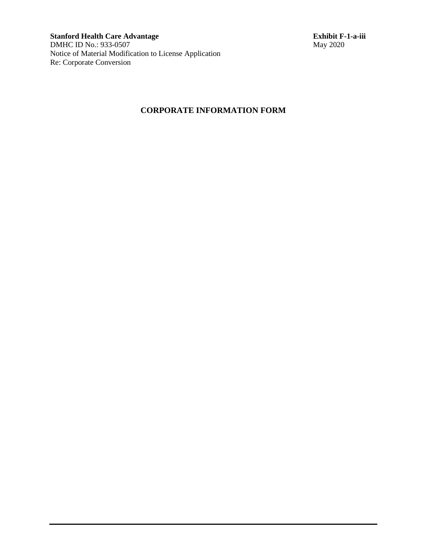**Stanford Health Care Advantage Exhibit F-1-a-iii** DMHC ID No.: 933-0507 May 2020 Notice of Material Modification to License Application Re: Corporate Conversion

## **CORPORATE INFORMATION FORM**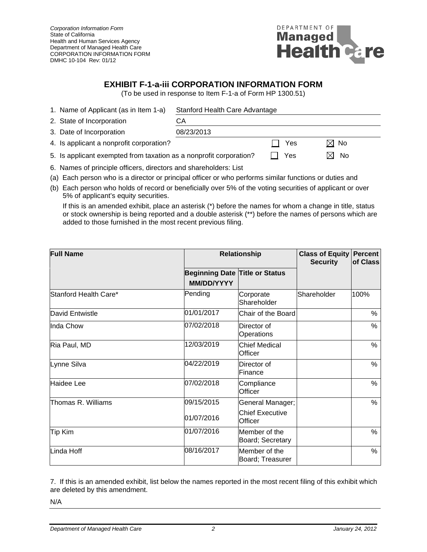*Corporation Information Form* State of California Health and Human Services Agency Department of Managed Health Care CORPORATION INFORMATION FORM DMHC 10-104 Rev: 01/12



## **EXHIBIT F-1-a-iii CORPORATION INFORMATION FORM**

(To be used in response to Item F-1-a of Form HP 1300.51)

| 1. Name of Applicant (as in Item 1-a)                               | Stanford Health Care Advantage |     |                |  |
|---------------------------------------------------------------------|--------------------------------|-----|----------------|--|
| 2. State of Incorporation                                           | CА                             |     |                |  |
| 3. Date of Incorporation                                            | 08/23/2013                     |     |                |  |
| 4. Is applicant a nonprofit corporation?                            |                                | Yes | $\boxtimes$ No |  |
| 5. Is applicant exempted from taxation as a nonprofit corporation?  |                                | Yes | No<br>ΙXΙ      |  |
| C. Newsan of principle officers directors and special developed int |                                |     |                |  |

- 6. Names of principle officers, directors and shareholders: List
- (a) Each person who is a director or principal officer or who performs similar functions or duties and
- (b) Each person who holds of record or beneficially over 5% of the voting securities of applicant or over 5% of applicant's equity securities.

If this is an amended exhibit, place an asterisk (\*) before the names for whom a change in title, status or stock ownership is being reported and a double asterisk (\*\*) before the names of persons which are added to those furnished in the most recent previous filing.

| <b>Full Name</b>      | <b>Relationship</b>                                 |                                   | <b>Class of Equity   Percent  </b><br><b>Security</b> | of Class |
|-----------------------|-----------------------------------------------------|-----------------------------------|-------------------------------------------------------|----------|
|                       | <b>Beginning Date Title or Status</b><br>MM/DD/YYYY |                                   |                                                       |          |
| Stanford Health Care* | Pending                                             | Corporate<br>Shareholder          | Shareholder                                           | 100%     |
| David Entwistle       | 01/01/2017                                          | Chair of the Board                |                                                       | %        |
| Inda Chow             | 07/02/2018                                          | Director of<br>Operations         |                                                       | %        |
| Ria Paul, MD          | 12/03/2019                                          | <b>Chief Medical</b><br>Officer   |                                                       | %        |
| Lynne Silva           | 04/22/2019                                          | Director of<br>Finance            |                                                       | $\%$     |
| Haidee Lee            | 07/02/2018                                          | Compliance<br>Officer             |                                                       | %        |
| Thomas R. Williams    | 09/15/2015                                          | General Manager;                  |                                                       | $\%$     |
|                       | 01/07/2016                                          | <b>Chief Executive</b><br>Officer |                                                       |          |
| <b>Tip Kim</b>        | 01/07/2016                                          | Member of the<br>Board; Secretary |                                                       | %        |
| Linda Hoff            | 08/16/2017                                          | Member of the<br>Board; Treasurer |                                                       | %        |

7. If this is an amended exhibit, list below the names reported in the most recent filing of this exhibit which are deleted by this amendment.

N/A